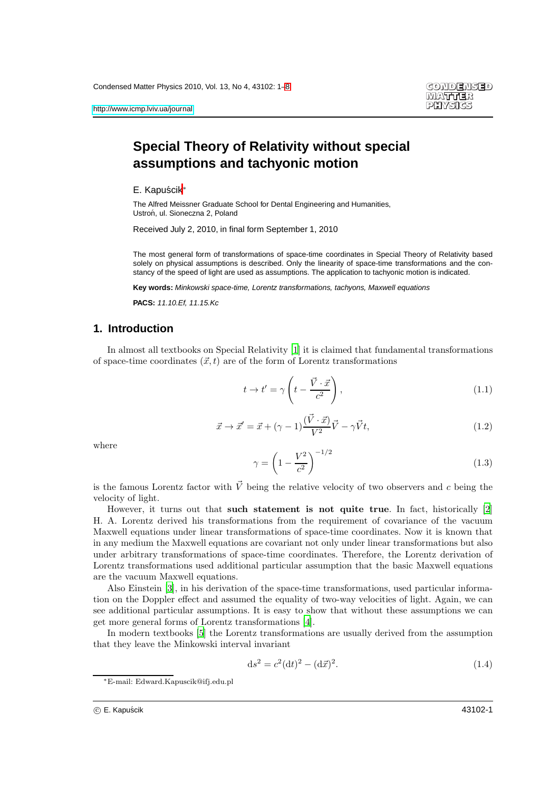# **Special Theory of Relativity without special assumptions and tachyonic motion**

E. Kapuścik<sup>\*</sup>

The Alfred Meissner Graduate School for Dental Engineering and Humanities, Ustroń, ul. Sioneczna 2, Poland

Received July 2, 2010, in final form September 1, 2010

The most general form of transformations of space-time coordinates in Special Theory of Relativity based solely on physical assumptions is described. Only the linearity of space-time transformations and the constancy of the speed of light are used as assumptions. The application to tachyonic motion is indicated.

**Key words:** Minkowski space-time, Lorentz transformations, tachyons, Maxwell equations

**PACS:** 11.10.Ef, 11.15.Kc

## **1. Introduction**

In almost all textbooks on Special Relativity [\[1](#page-6-1)] it is claimed that fundamental transformations of space-time coordinates  $(\vec{x}, t)$  are of the form of Lorentz transformations

$$
t \to t' = \gamma \left( t - \frac{\vec{V} \cdot \vec{x}}{c^2} \right),\tag{1.1}
$$

$$
\vec{x} \to \vec{x}' = \vec{x} + (\gamma - 1)\frac{(\vec{V} \cdot \vec{x})}{V^2}\vec{V} - \gamma \vec{V}t, \qquad (1.2)
$$

where

$$
\gamma = \left(1 - \frac{V^2}{c^2}\right)^{-1/2} \tag{1.3}
$$

is the famous Lorentz factor with  $\vec{V}$  being the relative velocity of two observers and c being the velocity of light.

However, it turns out that such statement is not quite true. In fact, historically [\[2\]](#page-6-2) H. A. Lorentz derived his transformations from the requirement of covariance of the vacuum Maxwell equations under linear transformations of space-time coordinates. Now it is known that in any medium the Maxwell equations are covariant not only under linear transformations but also under arbitrary transformations of space-time coordinates. Therefore, the Lorentz derivation of Lorentz transformations used additional particular assumption that the basic Maxwell equations are the vacuum Maxwell equations.

Also Einstein [\[3](#page-6-3)], in his derivation of the space-time transformations, used particular information on the Doppler effect and assumed the equality of two-way velocities of light. Again, we can see additional particular assumptions. It is easy to show that without these assumptions we can get more general forms of Lorentz transformations [\[4\]](#page-6-4).

In modern textbooks [\[5\]](#page-6-5) the Lorentz transformations are usually derived from the assumption that they leave the Minkowski interval invariant

$$
ds^{2} = c^{2}(dt)^{2} - (d\vec{x})^{2}.
$$
\n(1.4)

<sup>∗</sup>E-mail: Edward.Kapuscik@ifj.edu.pl

c E. Kapuscik ´ 43102-1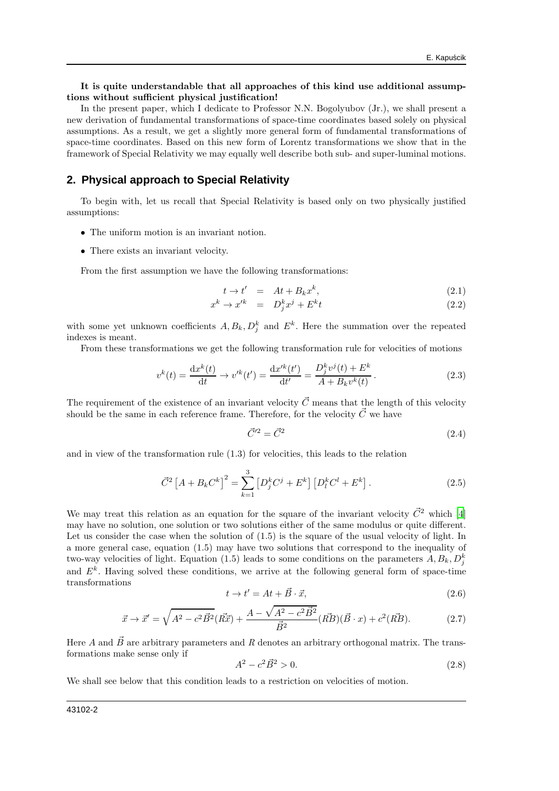#### It is quite understandable that all approaches of this kind use additional assumptions without sufficient physical justification!

In the present paper, which I dedicate to Professor N.N. Bogolyubov (Jr.), we shall present a new derivation of fundamental transformations of space-time coordinates based solely on physical assumptions. As a result, we get a slightly more general form of fundamental transformations of space-time coordinates. Based on this new form of Lorentz transformations we show that in the framework of Special Relativity we may equally well describe both sub- and super-luminal motions.

### **2. Physical approach to Special Relativity**

To begin with, let us recall that Special Relativity is based only on two physically justified assumptions:

- The uniform motion is an invariant notion.
- There exists an invariant velocity.

From the first assumption we have the following transformations:

$$
t \to t' = At + B_k x^k, \tag{2.1}
$$

$$
x^k \to x'^k = D_j^k x^j + E^k t \tag{2.2}
$$

with some yet unknown coefficients  $A, B_k, D_j^k$  and  $E^k$ . Here the summation over the repeated indexes is meant.

From these transformations we get the following transformation rule for velocities of motions

$$
v^{k}(t) = \frac{\mathrm{d}x^{k}(t)}{\mathrm{d}t} \to v'^{k}(t') = \frac{\mathrm{d}x'^{k}(t')}{\mathrm{d}t'} = \frac{D_{j}^{k}v^{j}(t) + E^{k}}{A + B_{k}v^{k}(t)}.
$$
\n(2.3)

The requirement of the existence of an invariant velocity  $\vec{C}$  means that the length of this velocity should be the same in each reference frame. Therefore, for the velocity  $\vec{C}$  we have

$$
\vec{C}^{'2} = \vec{C}^2 \tag{2.4}
$$

and in view of the transformation rule (1.3) for velocities, this leads to the relation

$$
\vec{C}^2 \left[ A + B_k C^k \right]^2 = \sum_{k=1}^3 \left[ D_j^k C^j + E^k \right] \left[ D_l^k C^l + E^k \right]. \tag{2.5}
$$

We may treat this relation as an equation for the square of the invariant velocity  $\vec{C}^2$  which [\[4](#page-6-4)] may have no solution, one solution or two solutions either of the same modulus or quite different. Let us consider the case when the solution of  $(1.5)$  is the square of the usual velocity of light. In a more general case, equation (1.5) may have two solutions that correspond to the inequality of two-way velocities of light. Equation (1.5) leads to some conditions on the parameters  $A, B_k, D_j^k$ and  $E^k$ . Having solved these conditions, we arrive at the following general form of space-time transformations

$$
t \to t' = At + \vec{B} \cdot \vec{x},\tag{2.6}
$$

$$
\vec{x} \to \vec{x}' = \sqrt{A^2 - c^2 \vec{B}^2} (\vec{R}\vec{x}) + \frac{A - \sqrt{A^2 - c^2 \vec{B}^2}}{\vec{B}^2} (\vec{RB})(\vec{B} \cdot x) + c^2 (\vec{RB}). \tag{2.7}
$$

Here A and  $\vec{B}$  are arbitrary parameters and R denotes an arbitrary orthogonal matrix. The transformations make sense only if

$$
A^2 - c^2 \vec{B}^2 > 0. \tag{2.8}
$$

We shall see below that this condition leads to a restriction on velocities of motion.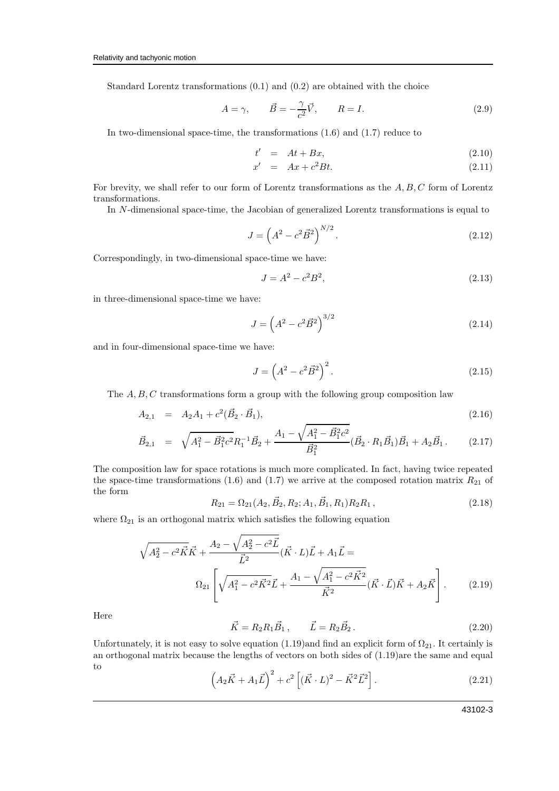Standard Lorentz transformations (0.1) and (0.2) are obtained with the choice

$$
A = \gamma, \qquad \vec{B} = -\frac{\gamma}{c^2}\vec{V}, \qquad R = I. \tag{2.9}
$$

In two-dimensional space-time, the transformations (1.6) and (1.7) reduce to

$$
t' = At + Bx, \t(2.10)
$$

$$
x' = Ax + c^2 Bt. \tag{2.11}
$$

For brevity, we shall refer to our form of Lorentz transformations as the  $A, B, C$  form of Lorentz transformations.

In N-dimensional space-time, the Jacobian of generalized Lorentz transformations is equal to

$$
J = \left(A^2 - c^2 \vec{B}^2\right)^{N/2}.\tag{2.12}
$$

Correspondingly, in two-dimensional space-time we have:

$$
J = A^2 - c^2 B^2,
$$
\n(2.13)

in three-dimensional space-time we have:

$$
J = \left(A^2 - c^2 \vec{B}^2\right)^{3/2} \tag{2.14}
$$

and in four-dimensional space-time we have:

$$
J = \left(A^2 - c^2 \vec{B}^2\right)^2.
$$
 (2.15)

The  $A, B, C$  transformations form a group with the following group composition law

$$
A_{2,1} = A_2 A_1 + c^2 (\vec{B}_2 \cdot \vec{B}_1), \tag{2.16}
$$

$$
\vec{B}_{2,1} = \sqrt{A_1^2 - \vec{B}_1^2 c^2} R_1^{-1} \vec{B}_2 + \frac{A_1 - \sqrt{A_1^2 - \vec{B}_1^2 c^2}}{\vec{B}_1^2} (\vec{B}_2 \cdot R_1 \vec{B}_1) \vec{B}_1 + A_2 \vec{B}_1. \tag{2.17}
$$

The composition law for space rotations is much more complicated. In fact, having twice repeated the space-time transformations (1.6) and (1.7) we arrive at the composed rotation matrix  $R_{21}$  of the form

$$
R_{21} = \Omega_{21}(A_2, \vec{B}_2, R_2; A_1, \vec{B}_1, R_1)R_2R_1, \qquad (2.18)
$$

where  $\Omega_{21}$  is an orthogonal matrix which satisfies the following equation

$$
\sqrt{A_2^2 - c^2 \vec{K}} \vec{K} + \frac{A_2 - \sqrt{A_2^2 - c^2 \vec{L}}}{\vec{L}^2} (\vec{K} \cdot L) \vec{L} + A_1 \vec{L} =
$$
  

$$
\Omega_{21} \left[ \sqrt{A_1^2 - c^2 \vec{K}^2} \vec{L} + \frac{A_1 - \sqrt{A_1^2 - c^2 \vec{K}^2}}{\vec{K}^2} (\vec{K} \cdot \vec{L}) \vec{K} + A_2 \vec{K} \right].
$$
 (2.19)

Here

$$
\vec{K} = R_2 R_1 \vec{B}_1, \qquad \vec{L} = R_2 \vec{B}_2. \tag{2.20}
$$

Unfortunately, it is not easy to solve equation (1.19)and find an explicit form of  $\Omega_{21}$ . It certainly is an orthogonal matrix because the lengths of vectors on both sides of (1.19)are the same and equal to

$$
\left(A_2\vec{K} + A_1\vec{L}\right)^2 + c^2\left[ (\vec{K} \cdot L)^2 - \vec{K}^2 \vec{L}^2 \right].
$$
\n(2.21)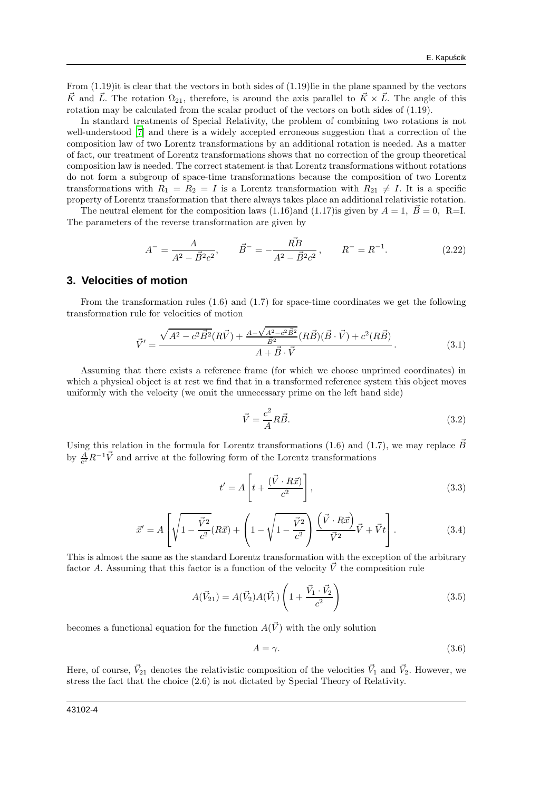From (1.19)it is clear that the vectors in both sides of (1.19)lie in the plane spanned by the vectors  $\vec{K}$  and  $\vec{L}$ . The rotation  $\Omega_{21}$ , therefore, is around the axis parallel to  $\vec{K}\times\vec{L}$ . The angle of this rotation may be calculated from the scalar product of the vectors on both sides of (1.19).

In standard treatments of Special Relativity, the problem of combining two rotations is not well-understood [\[7\]](#page-6-6) and there is a widely accepted erroneous suggestion that a correction of the composition law of two Lorentz transformations by an additional rotation is needed. As a matter of fact, our treatment of Lorentz transformations shows that no correction of the group theoretical composition law is needed. The correct statement is that Lorentz transformations without rotations do not form a subgroup of space-time transformations because the composition of two Lorentz transformations with  $R_1 = R_2 = I$  is a Lorentz transformation with  $R_{21} \neq I$ . It is a specific property of Lorentz transformation that there always takes place an additional relativistic rotation.

The neutral element for the composition laws (1.16)and (1.17) is given by  $A = 1$ ,  $\vec{B} = 0$ , R=I. The parameters of the reverse transformation are given by

$$
A^{-} = \frac{A}{A^{2} - \vec{B}^{2}c^{2}}, \qquad \vec{B}^{-} = -\frac{\vec{RB}}{A^{2} - \vec{B}^{2}c^{2}}, \qquad R^{-} = R^{-1}.
$$
 (2.22)

### **3. Velocities of motion**

From the transformation rules (1.6) and (1.7) for space-time coordinates we get the following transformation rule for velocities of motion

$$
\vec{V}' = \frac{\sqrt{A^2 - c^2 \vec{B}^2} (R\vec{V}) + \frac{A - \sqrt{A^2 - c^2 \vec{B}^2}}{\vec{B}^2} (R\vec{B}) (\vec{B} \cdot \vec{V}) + c^2 (R\vec{B})}{A + \vec{B} \cdot \vec{V}}.
$$
(3.1)

Assuming that there exists a reference frame (for which we choose unprimed coordinates) in which a physical object is at rest we find that in a transformed reference system this object moves uniformly with the velocity (we omit the unnecessary prime on the left hand side)

$$
\vec{V} = \frac{c^2}{A} R\vec{B}.
$$
\n(3.2)

Using this relation in the formula for Lorentz transformations (1.6) and (1.7), we may replace  $\vec{B}$ by  $\frac{A}{c^2}R^{-1}\vec{V}$  and arrive at the following form of the Lorentz transformations

$$
t' = A \left[ t + \frac{(\vec{V} \cdot R\vec{x})}{c^2} \right],
$$
\n(3.3)

$$
\vec{x}' = A \left[ \sqrt{1 - \frac{\vec{V}^2}{c^2}} (R\vec{x}) + \left( 1 - \sqrt{1 - \frac{\vec{V}^2}{c^2}} \right) \frac{\left( \vec{V} \cdot R\vec{x} \right)}{\vec{V}^2} \vec{V} + \vec{V}t \right].
$$
\n(3.4)

This is almost the same as the standard Lorentz transformation with the exception of the arbitrary factor A. Assuming that this factor is a function of the velocity  $\vec{V}$  the composition rule

$$
A(\vec{V}_{21}) = A(\vec{V}_2)A(\vec{V}_1)\left(1 + \frac{\vec{V}_1 \cdot \vec{V}_2}{c^2}\right)
$$
\n(3.5)

becomes a functional equation for the function  $A(\vec{V})$  with the only solution

$$
A = \gamma. \tag{3.6}
$$

Here, of course,  $\vec{V}_{21}$  denotes the relativistic composition of the velocities  $\vec{V}_1$  and  $\vec{V}_2$ . However, we stress the fact that the choice (2.6) is not dictated by Special Theory of Relativity.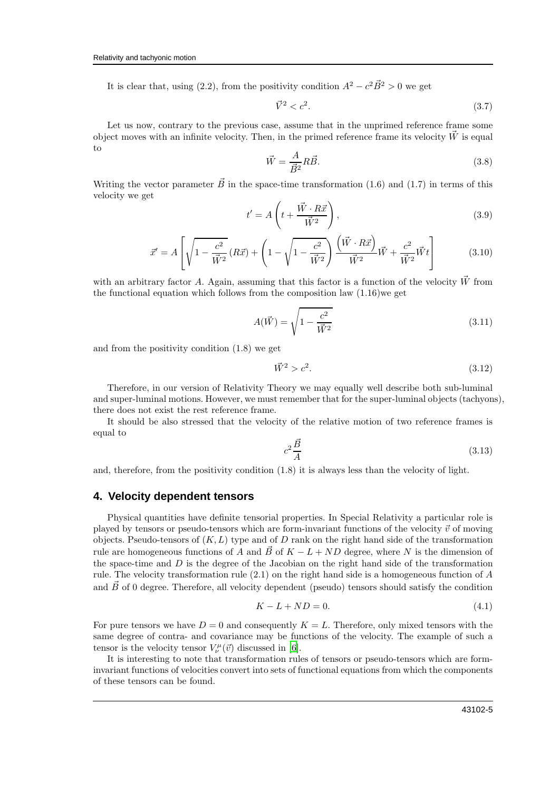It is clear that, using (2.2), from the positivity condition  $A^2 - c^2 \vec{B}^2 > 0$  we get

$$
\vec{V}^2 < c^2. \tag{3.7}
$$

Let us now, contrary to the previous case, assume that in the unprimed reference frame some object moves with an infinite velocity. Then, in the primed reference frame its velocity  $\dot{W}$  is equal to

$$
\vec{W} = \frac{A}{\vec{B}^2} R \vec{B}.
$$
\n(3.8)

Writing the vector parameter  $\vec{B}$  in the space-time transformation (1.6) and (1.7) in terms of this velocity we get

$$
t' = A\left(t + \frac{\vec{W} \cdot R\vec{x}}{\vec{W}^2}\right),\tag{3.9}
$$

$$
\vec{x}' = A \left[ \sqrt{1 - \frac{c^2}{\vec{W}^2}} (R\vec{x}) + \left( 1 - \sqrt{1 - \frac{c^2}{\vec{W}^2}} \right) \frac{\left( \vec{W} \cdot R\vec{x} \right)}{\vec{W}^2} \vec{W} + \frac{c^2}{\vec{W}^2} \vec{W} t \right]
$$
(3.10)

with an arbitrary factor A. Again, assuming that this factor is a function of the velocity  $\vec{W}$  from the functional equation which follows from the composition law  $(1.16)$  we get

$$
A(\vec{W}) = \sqrt{1 - \frac{c^2}{\vec{W}^2}}
$$
(3.11)

and from the positivity condition (1.8) we get

$$
\vec{W}^2 > c^2. \tag{3.12}
$$

Therefore, in our version of Relativity Theory we may equally well describe both sub-luminal and super-luminal motions. However, we must remember that for the super-luminal objects (tachyons), there does not exist the rest reference frame.

It should be also stressed that the velocity of the relative motion of two reference frames is equal to

$$
c^2 \frac{\vec{B}}{A} \tag{3.13}
$$

and, therefore, from the positivity condition (1.8) it is always less than the velocity of light.

#### **4. Velocity dependent tensors**

Physical quantities have definite tensorial properties. In Special Relativity a particular role is played by tensors or pseudo-tensors which are form-invariant functions of the velocity  $\vec{v}$  of moving objects. Pseudo-tensors of  $(K, L)$  type and of D rank on the right hand side of the transformation rule are homogeneous functions of A and  $\vec{B}$  of  $K - L + ND$  degree, where N is the dimension of the space-time and  $D$  is the degree of the Jacobian on the right hand side of the transformation rule. The velocity transformation rule (2.1) on the right hand side is a homogeneous function of A and  $\vec{B}$  of 0 degree. Therefore, all velocity dependent (pseudo) tensors should satisfy the condition

$$
K - L + ND = 0.\t\t(4.1)
$$

For pure tensors we have  $D = 0$  and consequently  $K = L$ . Therefore, only mixed tensors with the same degree of contra- and covariance may be functions of the velocity. The example of such a tensor is the velocity tensor  $V^{\mu}_{\nu}(\vec{v})$  discussed in [\[6](#page-6-7)].

It is interesting to note that transformation rules of tensors or pseudo-tensors which are forminvariant functions of velocities convert into sets of functional equations from which the components of these tensors can be found.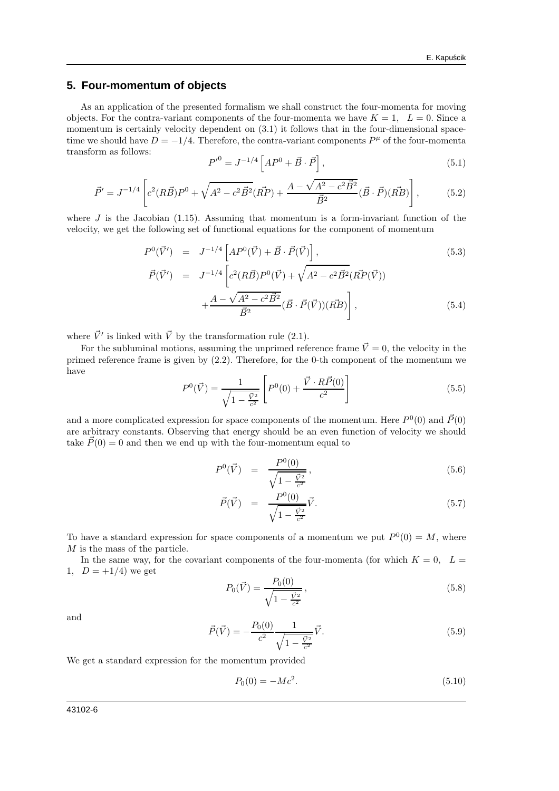## **5. Four-momentum of objects**

As an application of the presented formalism we shall construct the four-momenta for moving objects. For the contra-variant components of the four-momenta we have  $K = 1$ ,  $L = 0$ . Since a momentum is certainly velocity dependent on  $(3.1)$  it follows that in the four-dimensional spacetime we should have  $D = -1/4$ . Therefore, the contra-variant components  $P^{\mu}$  of the four-momenta transform as follows:

$$
P'^{0} = J^{-1/4} \left[ AP^{0} + \vec{B} \cdot \vec{P} \right], \tag{5.1}
$$

$$
\vec{P}' = J^{-1/4} \left[ c^2 (R\vec{B}) P^0 + \sqrt{A^2 - c^2 \vec{B}^2} (\vec{RP}) + \frac{A - \sqrt{A^2 - c^2 \vec{B}^2}}{\vec{B}^2} (\vec{B} \cdot \vec{P}) (\vec{RB}) \right],
$$
(5.2)

where  $J$  is the Jacobian (1.15). Assuming that momentum is a form-invariant function of the velocity, we get the following set of functional equations for the component of momentum

$$
P^{0}(\vec{V}') = J^{-1/4} \left[ AP^{0}(\vec{V}) + \vec{B} \cdot \vec{P}(\vec{V}) \right],
$$
\n
$$
\vec{P}(\vec{V}') = J^{-1/4} \left[ c^{2} (R\vec{B}) P^{0}(\vec{V}) + \sqrt{A^{2} - c^{2} \vec{B}^{2}} (R\vec{P}(\vec{V})) \right.
$$
\n
$$
+ \frac{A - \sqrt{A^{2} - c^{2} \vec{B}^{2}}}{\vec{B}^{2}} (\vec{B} \cdot \vec{P}(\vec{V})) (R\vec{B}) \right],
$$
\n(5.4)

where  $\vec{V}'$  is linked with  $\vec{V}$  by the transformation rule (2.1).

For the subluminal motions, assuming the unprimed reference frame  $\vec{V}=0$ , the velocity in the primed reference frame is given by (2.2). Therefore, for the 0-th component of the momentum we have

$$
P^{0}(\vec{V}) = \frac{1}{\sqrt{1 - \frac{\vec{V}^{2}}{c^{2}}}} \left[ P^{0}(0) + \frac{\vec{V} \cdot R\vec{P}(0)}{c^{2}} \right]
$$
(5.5)

and a more complicated expression for space components of the momentum. Here  $P^0(0)$  and  $\vec{P}(0)$ are arbitrary constants. Observing that energy should be an even function of velocity we should take  $P(0) = 0$  and then we end up with the four-momentum equal to

$$
P^{0}(\vec{V}) = \frac{P^{0}(0)}{\sqrt{1 - \frac{\vec{V}^{2}}{c^{2}}}},
$$
\n(5.6)

$$
\vec{P}(\vec{V}) = \frac{P^0(0)}{\sqrt{1 - \frac{\vec{V}^2}{c^2}}} \vec{V}.
$$
\n(5.7)

To have a standard expression for space components of a momentum we put  $P^0(0) = M$ , where M is the mass of the particle.

In the same way, for the covariant components of the four-momenta (for which  $K = 0$ ,  $L =$ 1,  $D = +1/4$  we get

$$
P_0(\vec{V}) = \frac{P_0(0)}{\sqrt{1 - \frac{\vec{V}^2}{c^2}}},\tag{5.8}
$$

and

$$
\vec{P}(\vec{V}) = -\frac{P_0(0)}{c^2} \frac{1}{\sqrt{1 - \frac{\vec{V}^2}{c^2}}} \vec{V}.
$$
\n(5.9)

We get a standard expression for the momentum provided

$$
P_0(0) = -Mc^2.
$$
\n(5.10)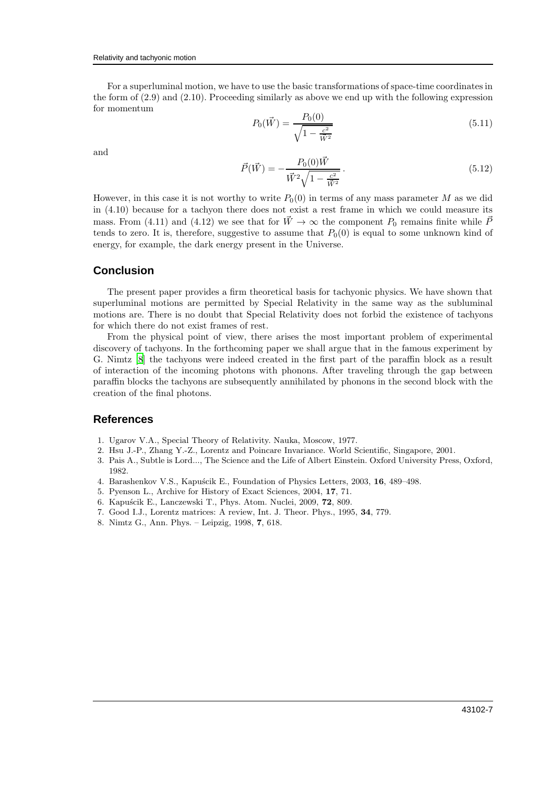For a superluminal motion, we have to use the basic transformations of space-time coordinates in the form of (2.9) and (2.10). Proceeding similarly as above we end up with the following expression for momentum

$$
P_0(\vec{W}) = \frac{P_0(0)}{\sqrt{1 - \frac{c^2}{\vec{W}^2}}} \tag{5.11}
$$

and

$$
\vec{P}(\vec{W}) = -\frac{P_0(0)\vec{W}}{\vec{W}^2\sqrt{1 - \frac{c^2}{\vec{W}^2}}}.
$$
\n(5.12)

However, in this case it is not worthy to write  $P_0(0)$  in terms of any mass parameter M as we did in (4.10) because for a tachyon there does not exist a rest frame in which we could measure its mass. From (4.11) and (4.12) we see that for  $\vec{W} \rightarrow \infty$  the component  $P_0$  remains finite while  $\vec{P}$ tends to zero. It is, therefore, suggestive to assume that  $P_0(0)$  is equal to some unknown kind of energy, for example, the dark energy present in the Universe.

### **Conclusion**

The present paper provides a firm theoretical basis for tachyonic physics. We have shown that superluminal motions are permitted by Special Relativity in the same way as the subluminal motions are. There is no doubt that Special Relativity does not forbid the existence of tachyons for which there do not exist frames of rest.

From the physical point of view, there arises the most important problem of experimental discovery of tachyons. In the forthcoming paper we shall argue that in the famous experiment by G. Nimtz [\[8](#page-6-8)] the tachyons were indeed created in the first part of the paraffin block as a result of interaction of the incoming photons with phonons. After traveling through the gap between paraffin blocks the tachyons are subsequently annihilated by phonons in the second block with the creation of the final photons.

### <span id="page-6-0"></span>**References**

- <span id="page-6-1"></span>1. Ugarov V.A., Special Theory of Relativity. Nauka, Moscow, 1977.
- <span id="page-6-2"></span>2. Hsu J.-P., Zhang Y.-Z., Lorentz and Poincare Invariance. World Scientific, Singapore, 2001.
- <span id="page-6-3"></span>3. Pais A., Subtle is Lord..., The Science and the Life of Albert Einstein. Oxford University Press, Oxford, 1982.
- <span id="page-6-4"></span>4. Barashenkov V.S., Kapuścik E., Foundation of Physics Letters, 2003, 16, 489–498.
- <span id="page-6-5"></span>5. Pyenson L., Archive for History of Exact Sciences, 2004, 17, 71.
- <span id="page-6-7"></span>6. Kapuścik E., Lanczewski T., Phys. Atom. Nuclei, 2009, 72, 809.
- <span id="page-6-6"></span>7. Good I.J., Lorentz matrices: A review, Int. J. Theor. Phys., 1995, 34, 779.
- <span id="page-6-8"></span>8. Nimtz G., Ann. Phys. – Leipzig, 1998, 7, 618.